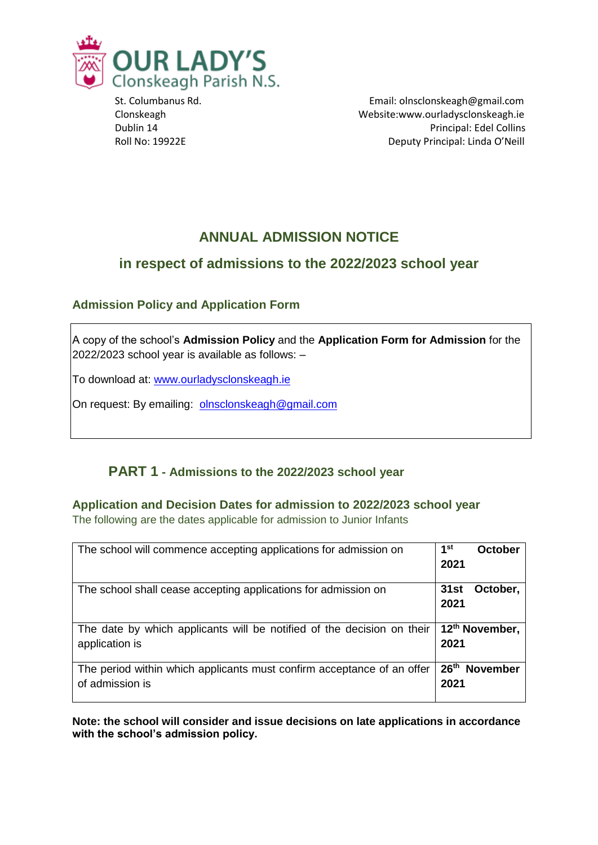

 St. Columbanus Rd. Email: olnsclonskeagh@gmail.com Clonskeagh Website:www.ourladysclonskeagh.ie Dublin 14 Principal: Edel Collins Roll No: 19922E Deputy Principal: Linda O'Neill

# **ANNUAL ADMISSION NOTICE**

# **in respect of admissions to the 2022/2023 school year**

### **Admission Policy and Application Form**

A copy of the school's **Admission Policy** and the **Application Form for Admission** for the 2022/2023 school year is available as follows: –

To download at: www.ourladysclonskeagh.ie

On request: By emailing: [olnsclonskeagh@gmail.com](mailto:olnsclonskeagh@gmail.com)

# **PART 1 - Admissions to the 2022/2023 school year**

**Application and Decision Dates for admission to 2022/2023 school year** The following are the dates applicable for admission to Junior Infants

| The school will commence accepting applications for admission on                          | 1st<br>October<br>2021                      |
|-------------------------------------------------------------------------------------------|---------------------------------------------|
| The school shall cease accepting applications for admission on                            | October,<br>31st<br>2021                    |
| The date by which applicants will be notified of the decision on their<br>application is  | 12 <sup>th</sup> November,<br>2021          |
| The period within which applicants must confirm acceptance of an offer<br>of admission is | 26 <sup>th</sup><br><b>November</b><br>2021 |

**Note: the school will consider and issue decisions on late applications in accordance with the school's admission policy.**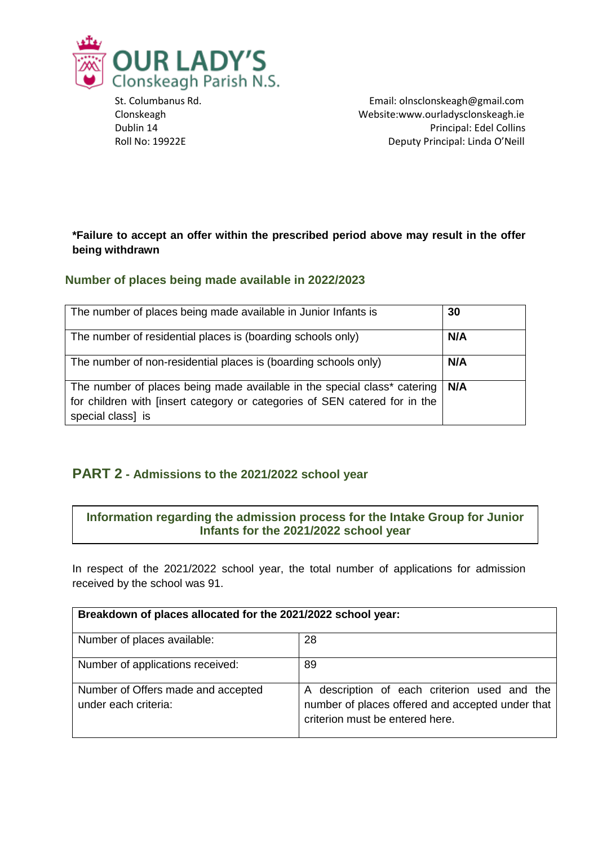

 St. Columbanus Rd. Email: olnsclonskeagh@gmail.com Clonskeagh Website:www.ourladysclonskeagh.ie Dublin 14 Principal: Edel Collins Roll No: 19922E Deputy Principal: Linda O'Neill

#### **\*Failure to accept an offer within the prescribed period above may result in the offer being withdrawn**

#### **Number of places being made available in 2022/2023**

| The number of places being made available in Junior Infants is                                                                                                              | 30  |
|-----------------------------------------------------------------------------------------------------------------------------------------------------------------------------|-----|
| The number of residential places is (boarding schools only)                                                                                                                 | N/A |
| The number of non-residential places is (boarding schools only)                                                                                                             | N/A |
| The number of places being made available in the special class* catering<br>for children with [insert category or categories of SEN catered for in the<br>special class] is | N/A |

### **PART 2 - Admissions to the 2021/2022 school year**

#### **Information regarding the admission process for the Intake Group for Junior Infants for the 2021/2022 school year**

In respect of the 2021/2022 school year, the total number of applications for admission received by the school was 91.

| Breakdown of places allocated for the 2021/2022 school year: |                                                                                                                                     |  |
|--------------------------------------------------------------|-------------------------------------------------------------------------------------------------------------------------------------|--|
| Number of places available:                                  | 28                                                                                                                                  |  |
| Number of applications received:                             | 89                                                                                                                                  |  |
| Number of Offers made and accepted<br>under each criteria:   | A description of each criterion used and the<br>number of places offered and accepted under that<br>criterion must be entered here. |  |